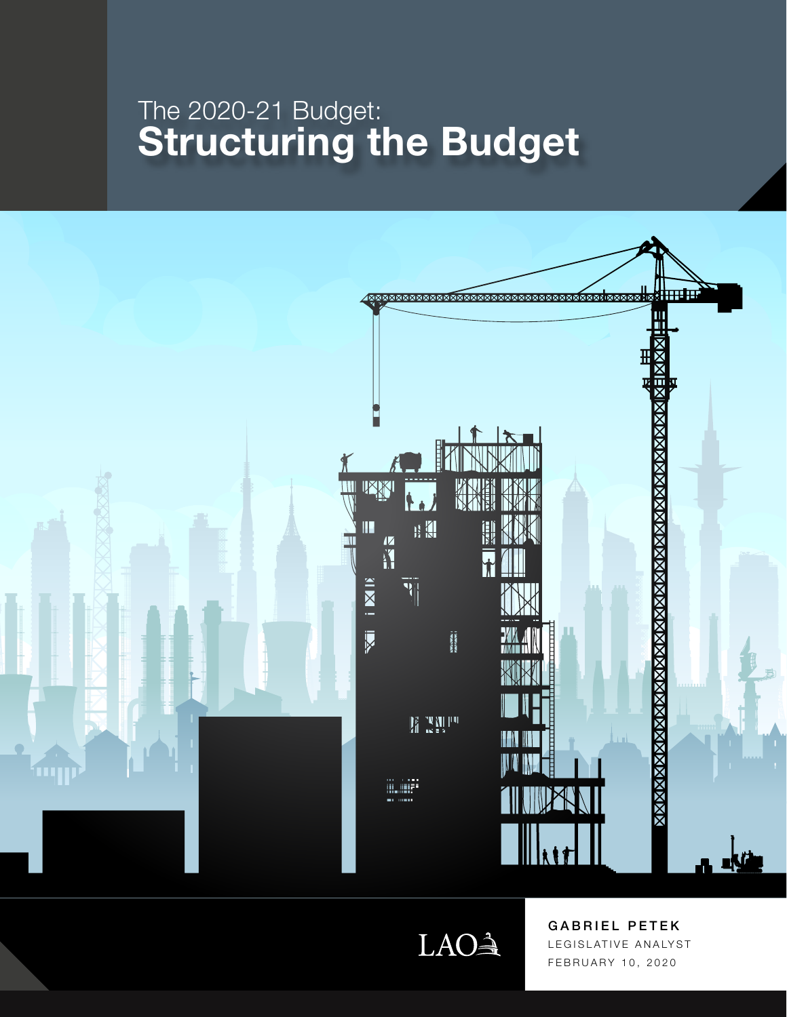# The 2020-21 Budget: **Structuring the Budget**



LAO

GABRIEL PETEK LEGISLATIVE ANALYST FEBRUARY 10, 2020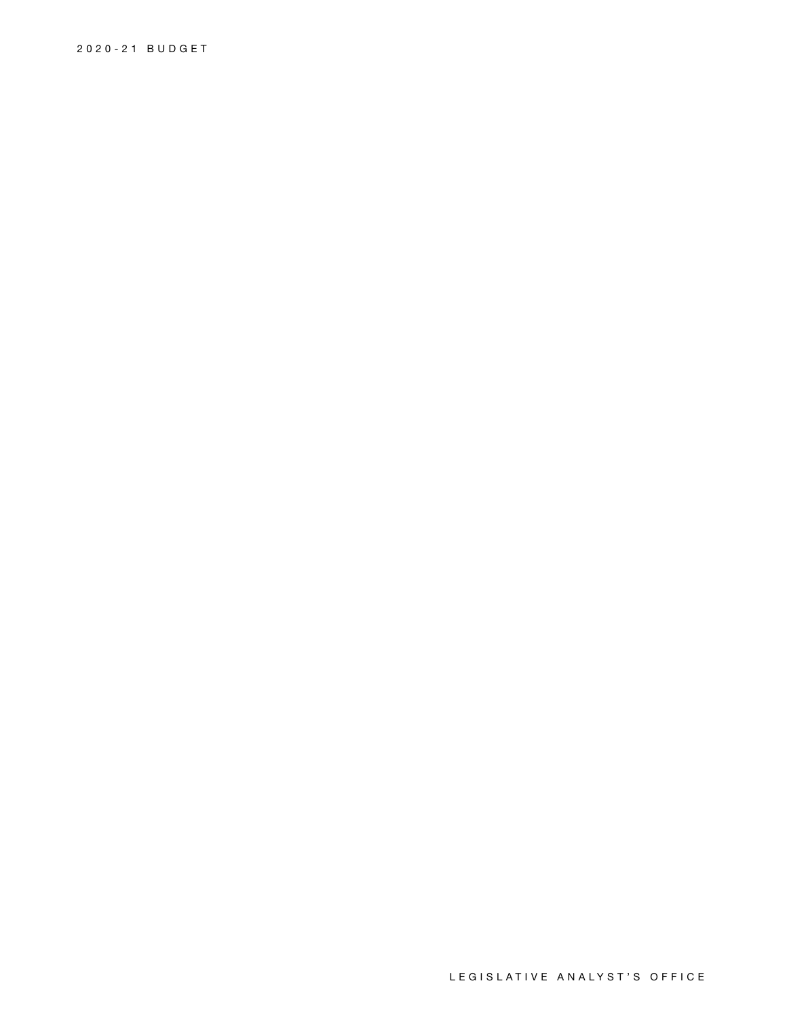2020-21 BUDGET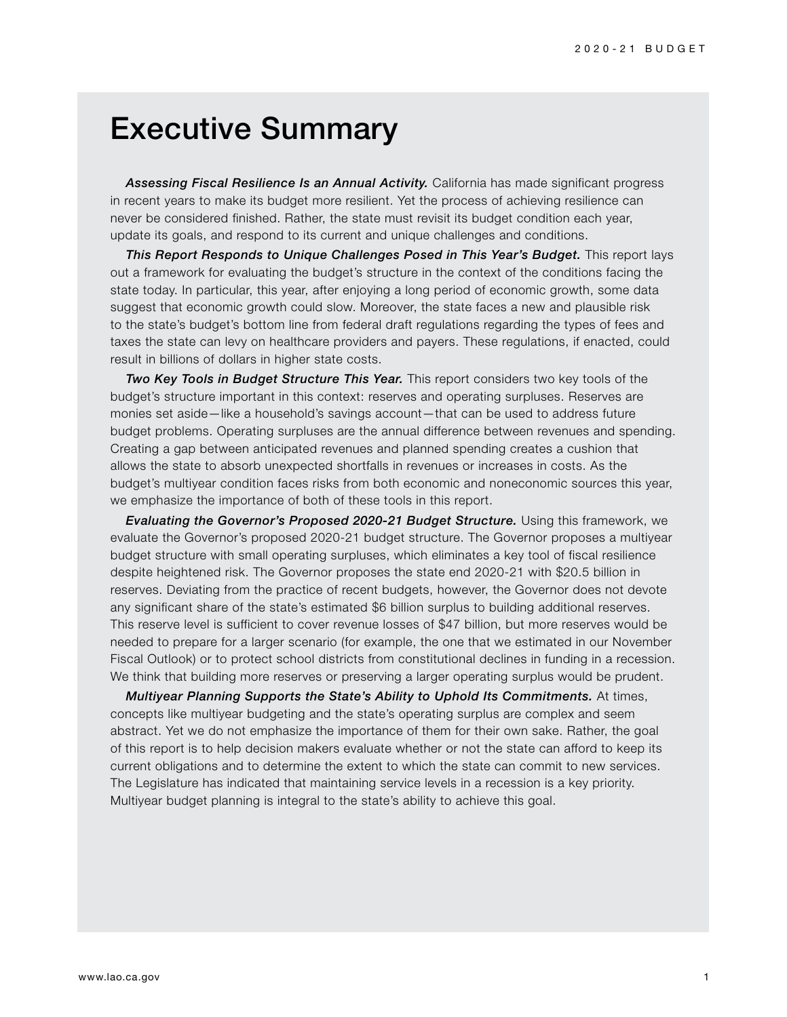# Executive Summary

*Assessing Fiscal Resilience Is an Annual Activity.* California has made significant progress in recent years to make its budget more resilient. Yet the process of achieving resilience can never be considered finished. Rather, the state must revisit its budget condition each year, update its goals, and respond to its current and unique challenges and conditions.

**This Report Responds to Unique Challenges Posed in This Year's Budget.** This report lays out a framework for evaluating the budget's structure in the context of the conditions facing the state today. In particular, this year, after enjoying a long period of economic growth, some data suggest that economic growth could slow. Moreover, the state faces a new and plausible risk to the state's budget's bottom line from federal draft regulations regarding the types of fees and taxes the state can levy on healthcare providers and payers. These regulations, if enacted, could result in billions of dollars in higher state costs.

*Two Key Tools in Budget Structure This Year.* This report considers two key tools of the budget's structure important in this context: reserves and operating surpluses. Reserves are monies set aside—like a household's savings account—that can be used to address future budget problems. Operating surpluses are the annual difference between revenues and spending. Creating a gap between anticipated revenues and planned spending creates a cushion that allows the state to absorb unexpected shortfalls in revenues or increases in costs. As the budget's multiyear condition faces risks from both economic and noneconomic sources this year, we emphasize the importance of both of these tools in this report.

*Evaluating the Governor's Proposed 2020-21 Budget Structure.* Using this framework, we evaluate the Governor's proposed 2020-21 budget structure. The Governor proposes a multiyear budget structure with small operating surpluses, which eliminates a key tool of fiscal resilience despite heightened risk. The Governor proposes the state end 2020-21 with \$20.5 billion in reserves. Deviating from the practice of recent budgets, however, the Governor does not devote any significant share of the state's estimated \$6 billion surplus to building additional reserves. This reserve level is sufficient to cover revenue losses of \$47 billion, but more reserves would be needed to prepare for a larger scenario (for example, the one that we estimated in our November Fiscal Outlook) or to protect school districts from constitutional declines in funding in a recession. We think that building more reserves or preserving a larger operating surplus would be prudent.

*Multiyear Planning Supports the State's Ability to Uphold Its Commitments.* At times, concepts like multiyear budgeting and the state's operating surplus are complex and seem abstract. Yet we do not emphasize the importance of them for their own sake. Rather, the goal of this report is to help decision makers evaluate whether or not the state can afford to keep its current obligations and to determine the extent to which the state can commit to new services. The Legislature has indicated that maintaining service levels in a recession is a key priority. Multiyear budget planning is integral to the state's ability to achieve this goal.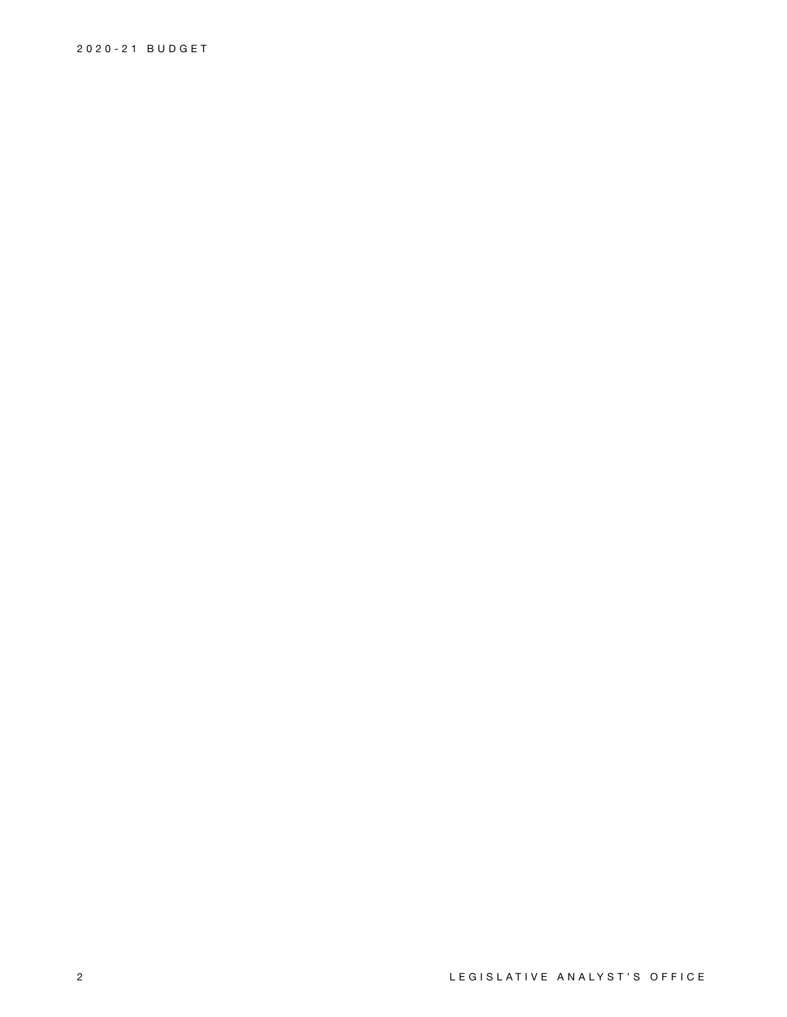2020-21 BUDGET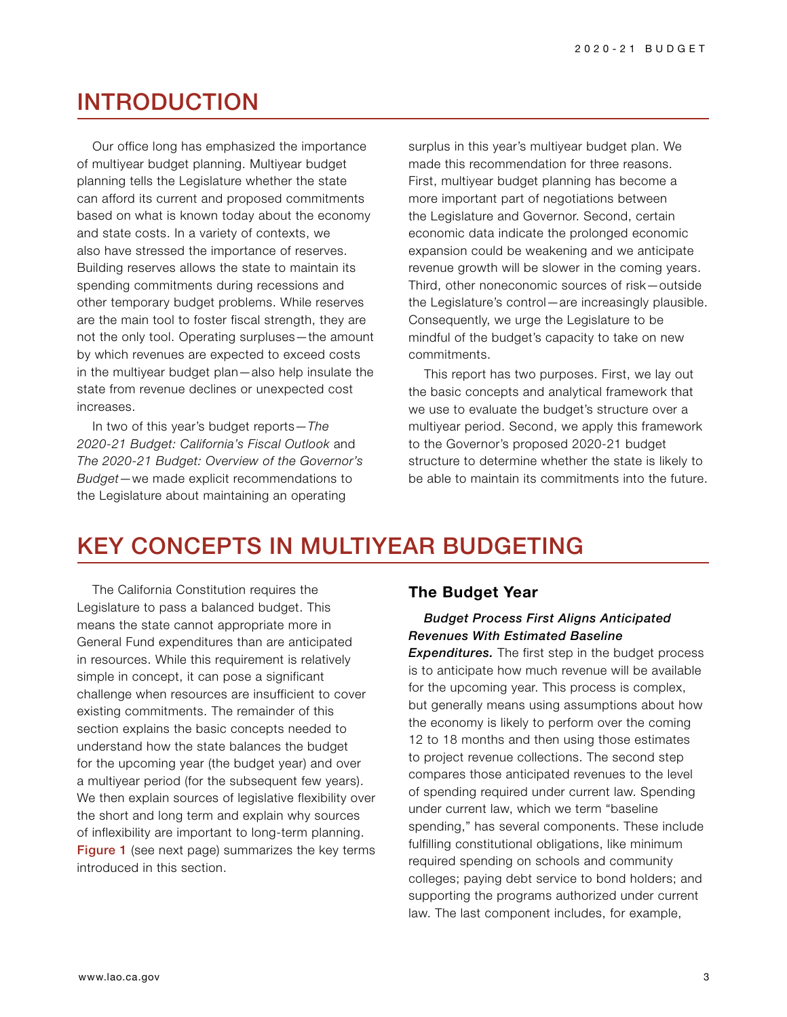# INTRODUCTION

Our office long has emphasized the importance of multiyear budget planning. Multiyear budget planning tells the Legislature whether the state can afford its current and proposed commitments based on what is known today about the economy and state costs. In a variety of contexts, we also have stressed the importance of reserves. Building reserves allows the state to maintain its spending commitments during recessions and other temporary budget problems. While reserves are the main tool to foster fiscal strength, they are not the only tool. Operating surpluses—the amount by which revenues are expected to exceed costs in the multiyear budget plan—also help insulate the state from revenue declines or unexpected cost increases.

In two of this year's budget reports—*The 2020-21 Budget: California's Fiscal Outlook* and *The 2020-21 Budget: Overview of the Governor's Budget*—we made explicit recommendations to the Legislature about maintaining an operating

surplus in this year's multiyear budget plan. We made this recommendation for three reasons. First, multiyear budget planning has become a more important part of negotiations between the Legislature and Governor. Second, certain economic data indicate the prolonged economic expansion could be weakening and we anticipate revenue growth will be slower in the coming years. Third, other noneconomic sources of risk—outside the Legislature's control—are increasingly plausible. Consequently, we urge the Legislature to be mindful of the budget's capacity to take on new commitments.

This report has two purposes. First, we lay out the basic concepts and analytical framework that we use to evaluate the budget's structure over a multiyear period. Second, we apply this framework to the Governor's proposed 2020-21 budget structure to determine whether the state is likely to be able to maintain its commitments into the future.

# KEY CONCEPTS IN MULTIYEAR BUDGETING

The California Constitution requires the Legislature to pass a balanced budget. This means the state cannot appropriate more in General Fund expenditures than are anticipated in resources. While this requirement is relatively simple in concept, it can pose a significant challenge when resources are insufficient to cover existing commitments. The remainder of this section explains the basic concepts needed to understand how the state balances the budget for the upcoming year (the budget year) and over a multiyear period (for the subsequent few years). We then explain sources of legislative flexibility over the short and long term and explain why sources of inflexibility are important to long-term planning. Figure 1 (see next page) summarizes the key terms introduced in this section.

#### **The Budget Year**

#### *Budget Process First Aligns Anticipated Revenues With Estimated Baseline*

**Expenditures.** The first step in the budget process is to anticipate how much revenue will be available for the upcoming year. This process is complex, but generally means using assumptions about how the economy is likely to perform over the coming 12 to 18 months and then using those estimates to project revenue collections. The second step compares those anticipated revenues to the level of spending required under current law. Spending under current law, which we term "baseline spending," has several components. These include fulfilling constitutional obligations, like minimum required spending on schools and community colleges; paying debt service to bond holders; and supporting the programs authorized under current law. The last component includes, for example,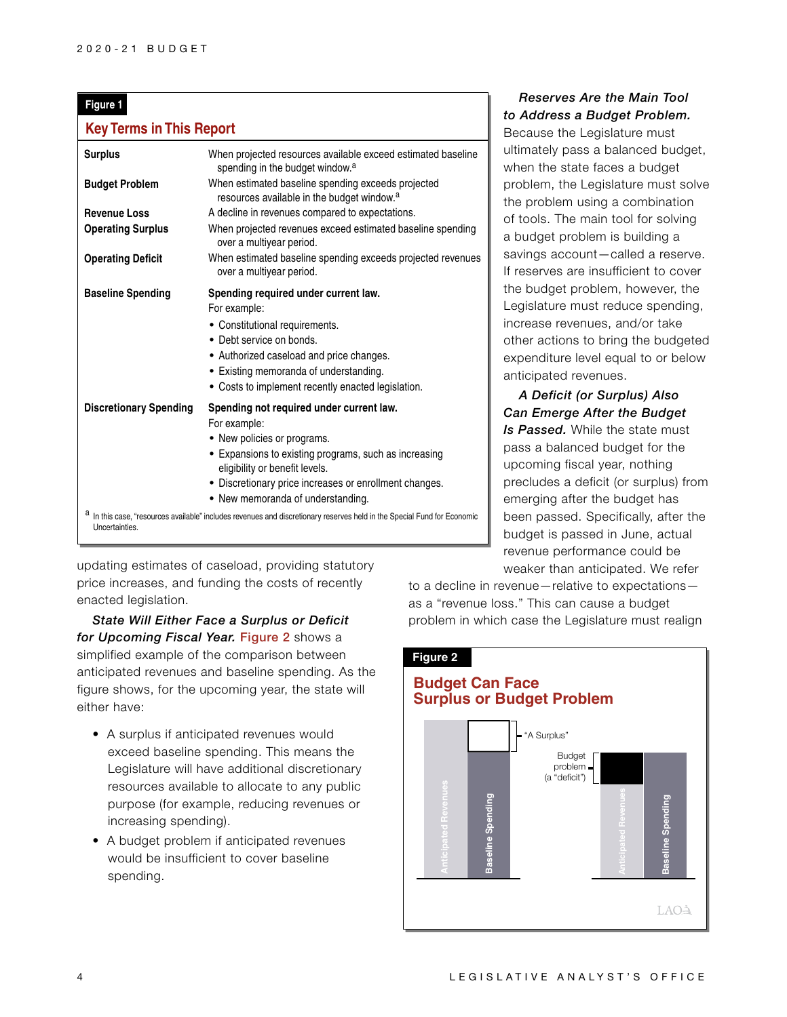#### **Figure 1**

#### **Key Terms in This Report**

| <b>Surplus</b>                                       | When projected resources available exceed estimated baseline<br>spending in the budget window. <sup>a</sup>                                                                                                                                                                                                                                                                                                 |
|------------------------------------------------------|-------------------------------------------------------------------------------------------------------------------------------------------------------------------------------------------------------------------------------------------------------------------------------------------------------------------------------------------------------------------------------------------------------------|
| <b>Budget Problem</b>                                | When estimated baseline spending exceeds projected<br>resources available in the budget window. <sup>a</sup>                                                                                                                                                                                                                                                                                                |
| <b>Revenue Loss</b>                                  | A decline in revenues compared to expectations.                                                                                                                                                                                                                                                                                                                                                             |
| <b>Operating Surplus</b>                             | When projected revenues exceed estimated baseline spending<br>over a multiyear period.                                                                                                                                                                                                                                                                                                                      |
| <b>Operating Deficit</b>                             | When estimated baseline spending exceeds projected revenues<br>over a multiyear period.                                                                                                                                                                                                                                                                                                                     |
| <b>Baseline Spending</b>                             | Spending required under current law.<br>For example:<br>• Constitutional requirements.<br>• Debt service on bonds.<br>• Authorized caseload and price changes.<br>• Existing memoranda of understanding.<br>• Costs to implement recently enacted legislation.                                                                                                                                              |
| <b>Discretionary Spending</b><br>а<br>Uncertainties. | Spending not required under current law.<br>For example:<br>• New policies or programs.<br>• Expansions to existing programs, such as increasing<br>eligibility or benefit levels.<br>• Discretionary price increases or enrollment changes.<br>• New memoranda of understanding.<br>In this case, "resources available" includes revenues and discretionary reserves held in the Special Fund for Economic |

*Reserves Are the Main Tool to Address a Budget Problem.* 

Because the Legislature must ultimately pass a balanced budget, when the state faces a budget problem, the Legislature must solve the problem using a combination of tools. The main tool for solving a budget problem is building a savings account—called a reserve. If reserves are insufficient to cover the budget problem, however, the Legislature must reduce spending, increase revenues, and/or take other actions to bring the budgeted expenditure level equal to or below anticipated revenues.

#### *A Deficit (or Surplus) Also Can Emerge After the Budget*

*Is Passed.* While the state must pass a balanced budget for the upcoming fiscal year, nothing precludes a deficit (or surplus) from emerging after the budget has been passed. Specifically, after the budget is passed in June, actual revenue performance could be weaker than anticipated. We refer

updating estimates of caseload, providing statutory price increases, and funding the costs of recently enacted legislation.

*State Will Either Face a Surplus or Deficit*  for Upcoming Fiscal Year. Figure 2 shows a simplified example of the comparison between anticipated revenues and baseline spending. As the figure shows, for the upcoming year, the state will either have:

- A surplus if anticipated revenues would exceed baseline spending. This means the Legislature will have additional discretionary resources available to allocate to any public purpose (for example, reducing revenues or increasing spending).
- A budget problem if anticipated revenues would be insufficient to cover baseline spending.

to a decline in revenue—relative to expectations as a "revenue loss." This can cause a budget problem in which case the Legislature must realign

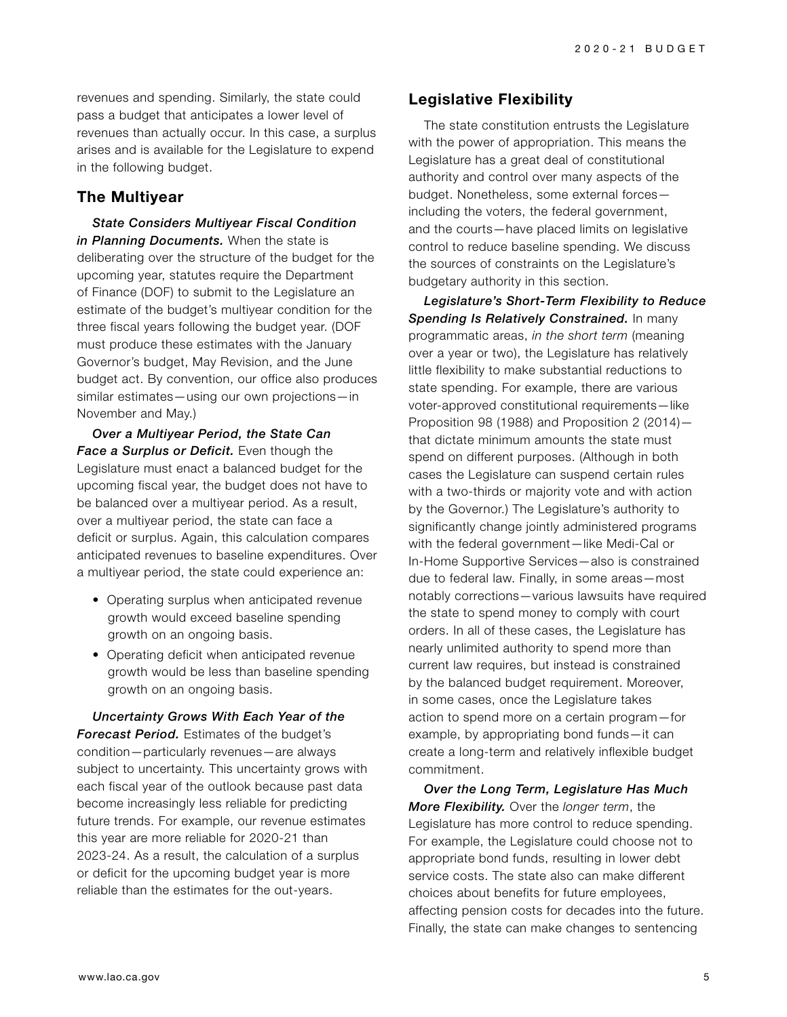revenues and spending. Similarly, the state could pass a budget that anticipates a lower level of revenues than actually occur. In this case, a surplus arises and is available for the Legislature to expend in the following budget.

#### **The Multiyear**

*State Considers Multiyear Fiscal Condition in Planning Documents.* When the state is deliberating over the structure of the budget for the upcoming year, statutes require the Department of Finance (DOF) to submit to the Legislature an estimate of the budget's multiyear condition for the three fiscal years following the budget year. (DOF must produce these estimates with the January Governor's budget, May Revision, and the June budget act. By convention, our office also produces similar estimates—using our own projections—in November and May.)

*Over a Multiyear Period, the State Can Face a Surplus or Deficit.* Even though the Legislature must enact a balanced budget for the upcoming fiscal year, the budget does not have to be balanced over a multiyear period. As a result, over a multiyear period, the state can face a deficit or surplus. Again, this calculation compares anticipated revenues to baseline expenditures. Over a multiyear period, the state could experience an:

- Operating surplus when anticipated revenue growth would exceed baseline spending growth on an ongoing basis.
- Operating deficit when anticipated revenue growth would be less than baseline spending growth on an ongoing basis.

*Uncertainty Grows With Each Year of the Forecast Period.* Estimates of the budget's condition—particularly revenues—are always subject to uncertainty. This uncertainty grows with each fiscal year of the outlook because past data become increasingly less reliable for predicting future trends. For example, our revenue estimates this year are more reliable for 2020-21 than 2023-24. As a result, the calculation of a surplus or deficit for the upcoming budget year is more reliable than the estimates for the out-years.

### **Legislative Flexibility**

The state constitution entrusts the Legislature with the power of appropriation. This means the Legislature has a great deal of constitutional authority and control over many aspects of the budget. Nonetheless, some external forces including the voters, the federal government, and the courts—have placed limits on legislative control to reduce baseline spending. We discuss the sources of constraints on the Legislature's budgetary authority in this section.

*Legislature's Short-Term Flexibility to Reduce Spending Is Relatively Constrained.* In many programmatic areas, *in the short term* (meaning over a year or two), the Legislature has relatively little flexibility to make substantial reductions to state spending. For example, there are various voter-approved constitutional requirements—like Proposition 98 (1988) and Proposition 2 (2014) that dictate minimum amounts the state must spend on different purposes. (Although in both cases the Legislature can suspend certain rules with a two-thirds or majority vote and with action by the Governor.) The Legislature's authority to significantly change jointly administered programs with the federal government—like Medi-Cal or In-Home Supportive Services—also is constrained due to federal law. Finally, in some areas—most notably corrections—various lawsuits have required the state to spend money to comply with court orders. In all of these cases, the Legislature has nearly unlimited authority to spend more than current law requires, but instead is constrained by the balanced budget requirement. Moreover, in some cases, once the Legislature takes action to spend more on a certain program—for example, by appropriating bond funds—it can create a long-term and relatively inflexible budget commitment.

*Over the Long Term, Legislature Has Much More Flexibility.* Over the *longer term*, the Legislature has more control to reduce spending. For example, the Legislature could choose not to appropriate bond funds, resulting in lower debt service costs. The state also can make different choices about benefits for future employees, affecting pension costs for decades into the future. Finally, the state can make changes to sentencing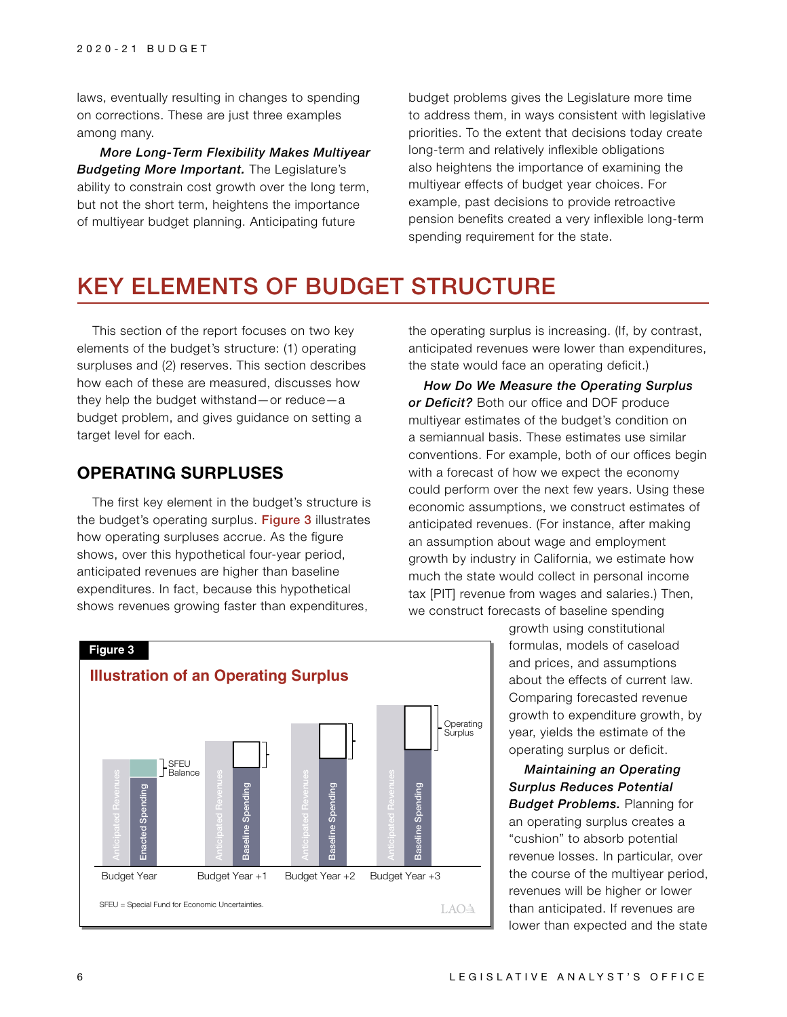laws, eventually resulting in changes to spending on corrections. These are just three examples among many.

*More Long-Term Flexibility Makes Multiyear Budgeting More Important.* The Legislature's ability to constrain cost growth over the long term, but not the short term, heightens the importance of multiyear budget planning. Anticipating future

budget problems gives the Legislature more time to address them, in ways consistent with legislative priorities. To the extent that decisions today create long-term and relatively inflexible obligations also heightens the importance of examining the multiyear effects of budget year choices. For example, past decisions to provide retroactive pension benefits created a very inflexible long-term spending requirement for the state.

# KEY ELEMENTS OF BUDGET STRUCTURE

This section of the report focuses on two key elements of the budget's structure: (1) operating surpluses and (2) reserves. This section describes how each of these are measured, discusses how they help the budget withstand—or reduce—a budget problem, and gives guidance on setting a target level for each.

# **OPERATING SURPLUSES**

The first key element in the budget's structure is the budget's operating surplus. Figure 3 illustrates how operating surpluses accrue. As the figure shows, over this hypothetical four-year period, anticipated revenues are higher than baseline expenditures. In fact, because this hypothetical shows revenues growing faster than expenditures,

the operating surplus is increasing. (If, by contrast, anticipated revenues were lower than expenditures, the state would face an operating deficit.)

*How Do We Measure the Operating Surplus or Deficit?* Both our office and DOF produce multiyear estimates of the budget's condition on a semiannual basis. These estimates use similar conventions. For example, both of our offices begin with a forecast of how we expect the economy could perform over the next few years. Using these economic assumptions, we construct estimates of anticipated revenues. (For instance, after making an assumption about wage and employment growth by industry in California, we estimate how much the state would collect in personal income tax [PIT] revenue from wages and salaries.) Then, we construct forecasts of baseline spending



growth using constitutional formulas, models of caseload and prices, and assumptions about the effects of current law. Comparing forecasted revenue growth to expenditure growth, by year, yields the estimate of the operating surplus or deficit.

*Maintaining an Operating Surplus Reduces Potential Budget Problems.* Planning for an operating surplus creates a "cushion" to absorb potential revenue losses. In particular, over the course of the multiyear period, revenues will be higher or lower than anticipated. If revenues are lower than expected and the state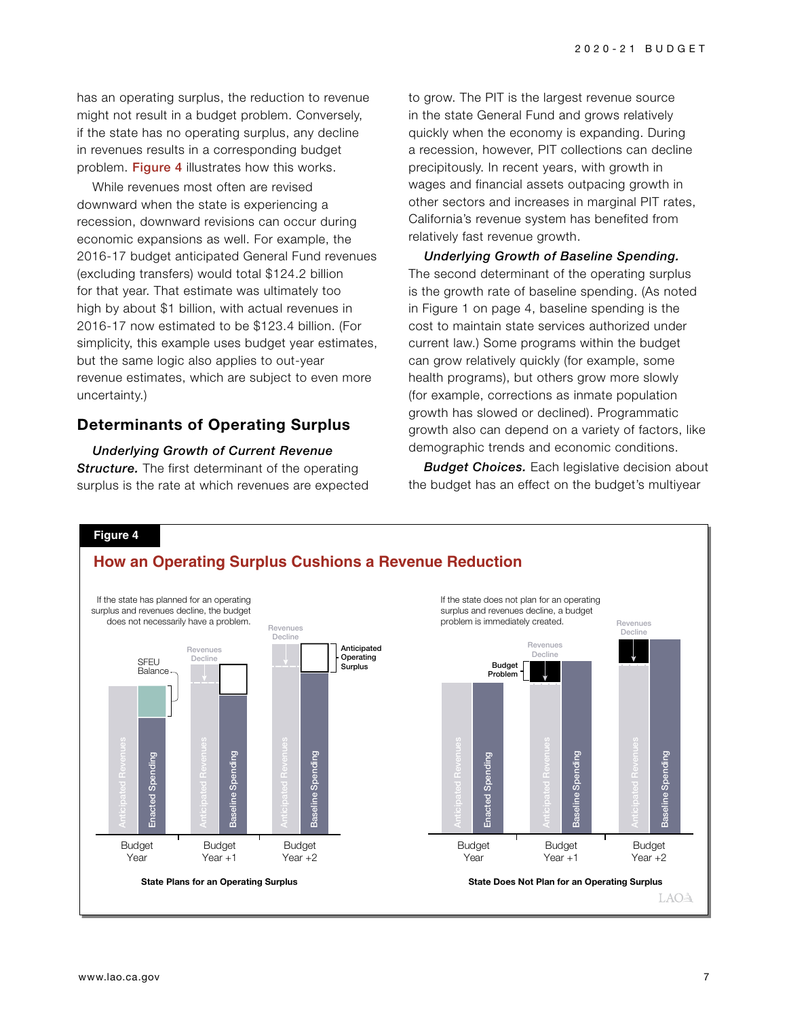has an operating surplus, the reduction to revenue might not result in a budget problem. Conversely, if the state has no operating surplus, any decline in revenues results in a corresponding budget problem. Figure 4 illustrates how this works.

While revenues most often are revised downward when the state is experiencing a recession, downward revisions can occur during economic expansions as well. For example, the 2016-17 budget anticipated General Fund revenues (excluding transfers) would total \$124.2 billion for that year. That estimate was ultimately too high by about \$1 billion, with actual revenues in 2016-17 now estimated to be \$123.4 billion. (For simplicity, this example uses budget year estimates, but the same logic also applies to out-year revenue estimates, which are subject to even more uncertainty.)

### **Determinants of Operating Surplus**

*Underlying Growth of Current Revenue Structure.* The first determinant of the operating surplus is the rate at which revenues are expected to grow. The PIT is the largest revenue source in the state General Fund and grows relatively quickly when the economy is expanding. During a recession, however, PIT collections can decline precipitously. In recent years, with growth in wages and financial assets outpacing growth in other sectors and increases in marginal PIT rates, California's revenue system has benefited from relatively fast revenue growth.

*Underlying Growth of Baseline Spending.* The second determinant of the operating surplus is the growth rate of baseline spending. (As noted in Figure 1 on page 4, baseline spending is the cost to maintain state services authorized under current law.) Some programs within the budget can grow relatively quickly (for example, some health programs), but others grow more slowly (for example, corrections as inmate population growth has slowed or declined). Programmatic growth also can depend on a variety of factors, like demographic trends and economic conditions.

*Budget Choices.* Each legislative decision about the budget has an effect on the budget's multiyear

**Figure 4**

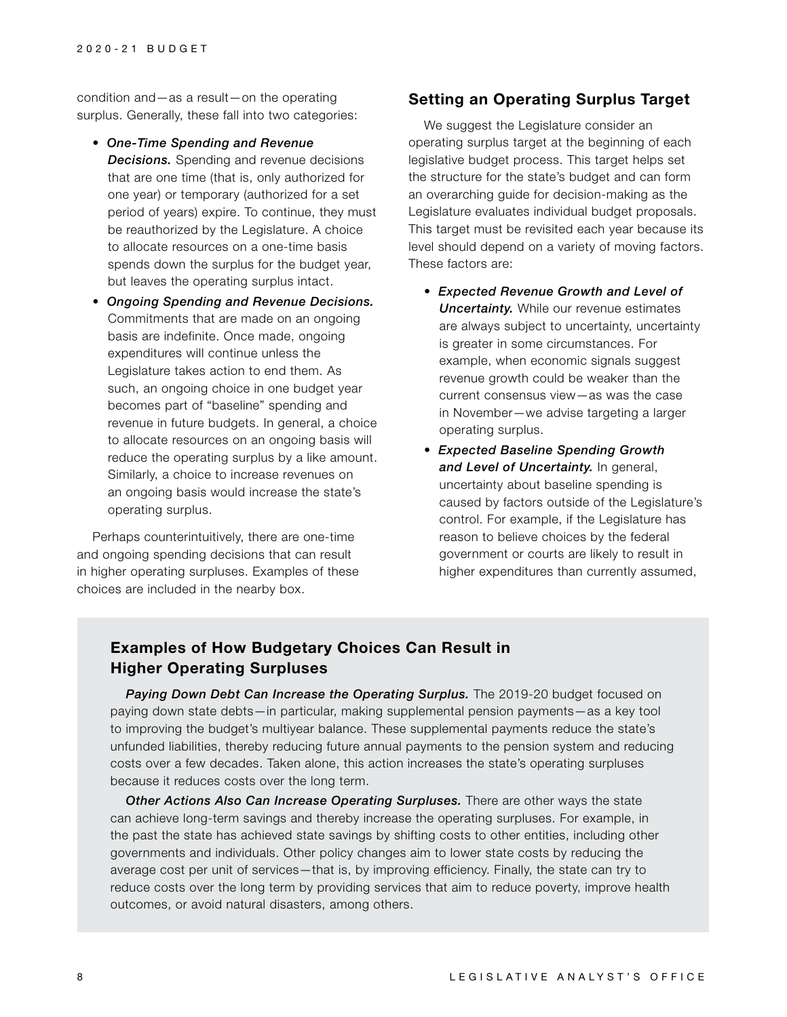condition and—as a result—on the operating surplus. Generally, these fall into two categories:

- *One-Time Spending and Revenue*  **Decisions.** Spending and revenue decisions that are one time (that is, only authorized for one year) or temporary (authorized for a set period of years) expire. To continue, they must be reauthorized by the Legislature. A choice to allocate resources on a one-time basis spends down the surplus for the budget year. but leaves the operating surplus intact.
- *Ongoing Spending and Revenue Decisions.* Commitments that are made on an ongoing basis are indefinite. Once made, ongoing expenditures will continue unless the Legislature takes action to end them. As such, an ongoing choice in one budget year becomes part of "baseline" spending and revenue in future budgets. In general, a choice to allocate resources on an ongoing basis will reduce the operating surplus by a like amount. Similarly, a choice to increase revenues on an ongoing basis would increase the state's operating surplus.

Perhaps counterintuitively, there are one-time and ongoing spending decisions that can result in higher operating surpluses. Examples of these choices are included in the nearby box.

#### **Setting an Operating Surplus Target**

We suggest the Legislature consider an operating surplus target at the beginning of each legislative budget process. This target helps set the structure for the state's budget and can form an overarching guide for decision-making as the Legislature evaluates individual budget proposals. This target must be revisited each year because its level should depend on a variety of moving factors. These factors are:

- *Expected Revenue Growth and Level of Uncertainty.* While our revenue estimates are always subject to uncertainty, uncertainty is greater in some circumstances. For example, when economic signals suggest revenue growth could be weaker than the current consensus view—as was the case in November—we advise targeting a larger operating surplus.
- *Expected Baseline Spending Growth and Level of Uncertainty.* In general, uncertainty about baseline spending is caused by factors outside of the Legislature's control. For example, if the Legislature has reason to believe choices by the federal government or courts are likely to result in higher expenditures than currently assumed,

# **Examples of How Budgetary Choices Can Result in Higher Operating Surpluses**

**Paying Down Debt Can Increase the Operating Surplus.** The 2019-20 budget focused on paying down state debts—in particular, making supplemental pension payments—as a key tool to improving the budget's multiyear balance. These supplemental payments reduce the state's unfunded liabilities, thereby reducing future annual payments to the pension system and reducing costs over a few decades. Taken alone, this action increases the state's operating surpluses because it reduces costs over the long term.

*Other Actions Also Can Increase Operating Surpluses.* There are other ways the state can achieve long-term savings and thereby increase the operating surpluses. For example, in the past the state has achieved state savings by shifting costs to other entities, including other governments and individuals. Other policy changes aim to lower state costs by reducing the average cost per unit of services—that is, by improving efficiency. Finally, the state can try to reduce costs over the long term by providing services that aim to reduce poverty, improve health outcomes, or avoid natural disasters, among others.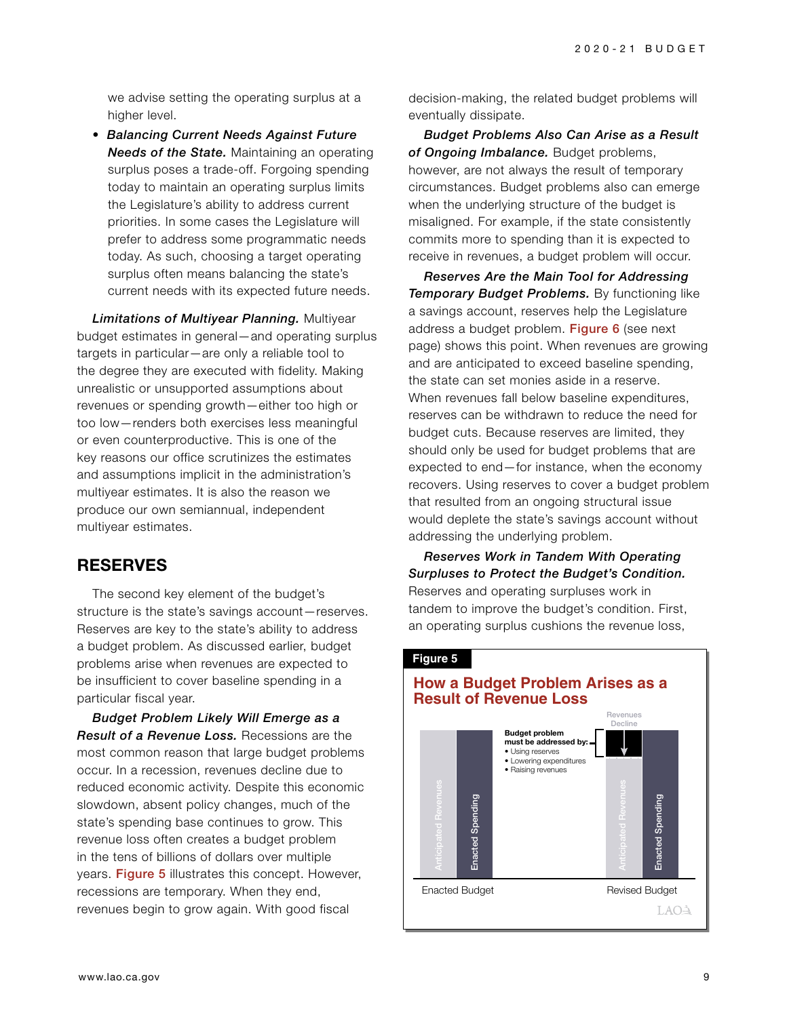we advise setting the operating surplus at a higher level.

• *Balancing Current Needs Against Future Needs of the State.* Maintaining an operating surplus poses a trade-off. Forgoing spending today to maintain an operating surplus limits the Legislature's ability to address current priorities. In some cases the Legislature will prefer to address some programmatic needs today. As such, choosing a target operating surplus often means balancing the state's current needs with its expected future needs.

*Limitations of Multiyear Planning.* Multiyear budget estimates in general—and operating surplus targets in particular—are only a reliable tool to the degree they are executed with fidelity. Making unrealistic or unsupported assumptions about revenues or spending growth—either too high or too low—renders both exercises less meaningful or even counterproductive. This is one of the key reasons our office scrutinizes the estimates and assumptions implicit in the administration's multiyear estimates. It is also the reason we produce our own semiannual, independent multiyear estimates.

# **RESERVES**

The second key element of the budget's structure is the state's savings account—reserves. Reserves are key to the state's ability to address a budget problem. As discussed earlier, budget problems arise when revenues are expected to be insufficient to cover baseline spending in a particular fiscal year.

*Budget Problem Likely Will Emerge as a Result of a Revenue Loss.* Recessions are the most common reason that large budget problems occur. In a recession, revenues decline due to reduced economic activity. Despite this economic slowdown, absent policy changes, much of the state's spending base continues to grow. This revenue loss often creates a budget problem in the tens of billions of dollars over multiple years. Figure 5 illustrates this concept. However, recessions are temporary. When they end, revenues begin to grow again. With good fiscal

decision-making, the related budget problems will eventually dissipate.

*Budget Problems Also Can Arise as a Result of Ongoing Imbalance.* Budget problems, however, are not always the result of temporary circumstances. Budget problems also can emerge when the underlying structure of the budget is misaligned. For example, if the state consistently commits more to spending than it is expected to receive in revenues, a budget problem will occur.

*Reserves Are the Main Tool for Addressing*  **Temporary Budget Problems.** By functioning like a savings account, reserves help the Legislature address a budget problem. Figure 6 (see next page) shows this point. When revenues are growing and are anticipated to exceed baseline spending, the state can set monies aside in a reserve. When revenues fall below baseline expenditures, reserves can be withdrawn to reduce the need for budget cuts. Because reserves are limited, they should only be used for budget problems that are expected to end—for instance, when the economy recovers. Using reserves to cover a budget problem that resulted from an ongoing structural issue would deplete the state's savings account without addressing the underlying problem.

*Reserves Work in Tandem With Operating Surpluses to Protect the Budget's Condition.* Reserves and operating surpluses work in tandem to improve the budget's condition. First, an operating surplus cushions the revenue loss,

# **Figure 5**

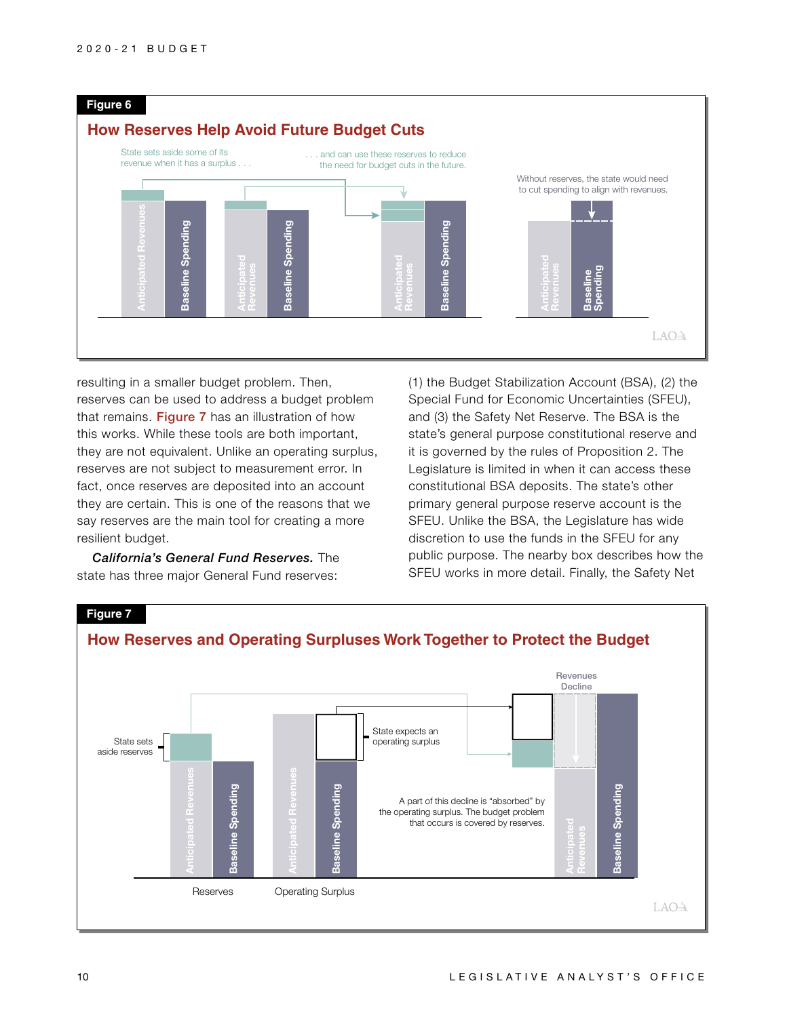

resulting in a smaller budget problem. Then, reserves can be used to address a budget problem that remains. Figure 7 has an illustration of how this works. While these tools are both important, they are not equivalent. Unlike an operating surplus, reserves are not subject to measurement error. In fact, once reserves are deposited into an account they are certain. This is one of the reasons that we say reserves are the main tool for creating a more resilient budget.

*California's General Fund Reserves.* The state has three major General Fund reserves:

(1) the Budget Stabilization Account (BSA), (2) the Special Fund for Economic Uncertainties (SFEU), and (3) the Safety Net Reserve. The BSA is the state's general purpose constitutional reserve and it is governed by the rules of Proposition 2. The Legislature is limited in when it can access these constitutional BSA deposits. The state's other primary general purpose reserve account is the SFEU. Unlike the BSA, the Legislature has wide discretion to use the funds in the SFEU for any public purpose. The nearby box describes how the SFEU works in more detail. Finally, the Safety Net

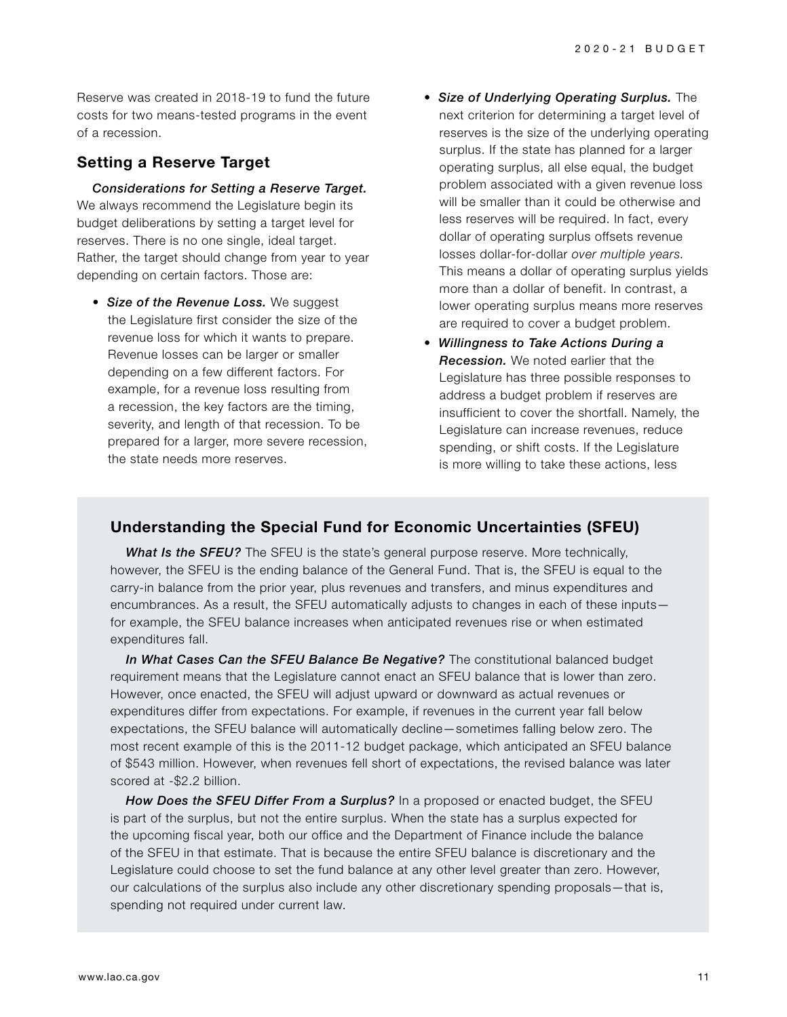Reserve was created in 2018-19 to fund the future costs for two means-tested programs in the event of a recession.

### **Setting a Reserve Target**

*Considerations for Setting a Reserve Target.* We always recommend the Legislature begin its budget deliberations by setting a target level for reserves. There is no one single, ideal target. Rather, the target should change from year to year depending on certain factors. Those are:

- *Size of the Revenue Loss.* We suggest the Legislature first consider the size of the revenue loss for which it wants to prepare. Revenue losses can be larger or smaller depending on a few different factors. For example, for a revenue loss resulting from a recession, the key factors are the timing, severity, and length of that recession. To be prepared for a larger, more severe recession, the state needs more reserves.
- *Size of Underlying Operating Surplus.* The next criterion for determining a target level of reserves is the size of the underlying operating surplus. If the state has planned for a larger operating surplus, all else equal, the budget problem associated with a given revenue loss will be smaller than it could be otherwise and less reserves will be required. In fact, every dollar of operating surplus offsets revenue losses dollar-for-dollar *over multiple years.* This means a dollar of operating surplus yields more than a dollar of benefit. In contrast, a lower operating surplus means more reserves are required to cover a budget problem.
- *Willingness to Take Actions During a Recession.* We noted earlier that the Legislature has three possible responses to address a budget problem if reserves are insufficient to cover the shortfall. Namely, the Legislature can increase revenues, reduce spending, or shift costs. If the Legislature is more willing to take these actions, less

### **Understanding the Special Fund for Economic Uncertainties (SFEU)**

**What Is the SFEU?** The SFEU is the state's general purpose reserve. More technically, however, the SFEU is the ending balance of the General Fund. That is, the SFEU is equal to the carry-in balance from the prior year, plus revenues and transfers, and minus expenditures and encumbrances. As a result, the SFEU automatically adjusts to changes in each of these inputs for example, the SFEU balance increases when anticipated revenues rise or when estimated expenditures fall.

*In What Cases Can the SFEU Balance Be Negative?* The constitutional balanced budget requirement means that the Legislature cannot enact an SFEU balance that is lower than zero. However, once enacted, the SFEU will adjust upward or downward as actual revenues or expenditures differ from expectations. For example, if revenues in the current year fall below expectations, the SFEU balance will automatically decline—sometimes falling below zero. The most recent example of this is the 2011-12 budget package, which anticipated an SFEU balance of \$543 million. However, when revenues fell short of expectations, the revised balance was later scored at -\$2.2 billion.

*How Does the SFEU Differ From a Surplus?* In a proposed or enacted budget, the SFEU is part of the surplus, but not the entire surplus. When the state has a surplus expected for the upcoming fiscal year, both our office and the Department of Finance include the balance of the SFEU in that estimate. That is because the entire SFEU balance is discretionary and the Legislature could choose to set the fund balance at any other level greater than zero. However, our calculations of the surplus also include any other discretionary spending proposals—that is, spending not required under current law.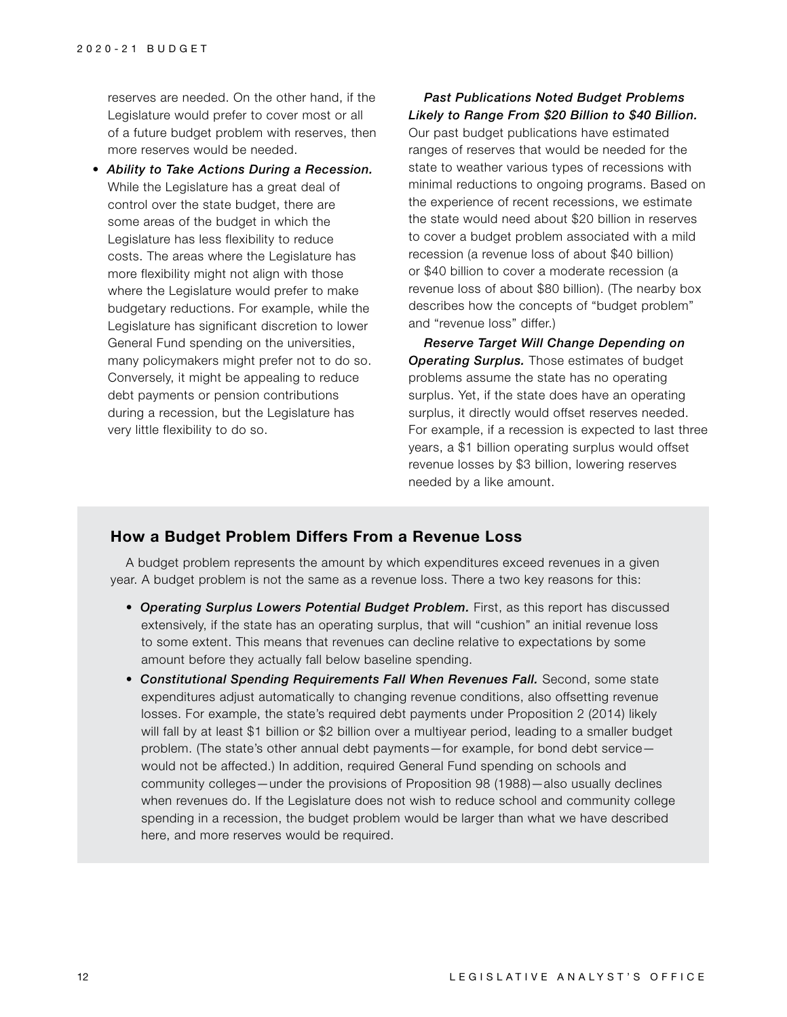reserves are needed. On the other hand, if the Legislature would prefer to cover most or all of a future budget problem with reserves, then more reserves would be needed.

• *Ability to Take Actions During a Recession.* While the Legislature has a great deal of control over the state budget, there are some areas of the budget in which the Legislature has less flexibility to reduce costs. The areas where the Legislature has more flexibility might not align with those where the Legislature would prefer to make budgetary reductions. For example, while the Legislature has significant discretion to lower General Fund spending on the universities, many policymakers might prefer not to do so. Conversely, it might be appealing to reduce debt payments or pension contributions during a recession, but the Legislature has very little flexibility to do so.

#### *Past Publications Noted Budget Problems Likely to Range From \$20 Billion to \$40 Billion.*

Our past budget publications have estimated ranges of reserves that would be needed for the state to weather various types of recessions with minimal reductions to ongoing programs. Based on the experience of recent recessions, we estimate the state would need about \$20 billion in reserves to cover a budget problem associated with a mild recession (a revenue loss of about \$40 billion) or \$40 billion to cover a moderate recession (a revenue loss of about \$80 billion). (The nearby box describes how the concepts of "budget problem" and "revenue loss" differ.)

*Reserve Target Will Change Depending on Operating Surplus.* Those estimates of budget problems assume the state has no operating surplus. Yet, if the state does have an operating surplus, it directly would offset reserves needed. For example, if a recession is expected to last three years, a \$1 billion operating surplus would offset revenue losses by \$3 billion, lowering reserves needed by a like amount.

#### **How a Budget Problem Differs From a Revenue Loss**

A budget problem represents the amount by which expenditures exceed revenues in a given year. A budget problem is not the same as a revenue loss. There a two key reasons for this:

- Operating Surplus Lowers Potential Budget Problem. First, as this report has discussed extensively, if the state has an operating surplus, that will "cushion" an initial revenue loss to some extent. This means that revenues can decline relative to expectations by some amount before they actually fall below baseline spending.
- **Constitutional Spending Requirements Fall When Revenues Fall.** Second, some state expenditures adjust automatically to changing revenue conditions, also offsetting revenue losses. For example, the state's required debt payments under Proposition 2 (2014) likely will fall by at least \$1 billion or \$2 billion over a multiyear period, leading to a smaller budget problem. (The state's other annual debt payments—for example, for bond debt service would not be affected.) In addition, required General Fund spending on schools and community colleges—under the provisions of Proposition 98 (1988)—also usually declines when revenues do. If the Legislature does not wish to reduce school and community college spending in a recession, the budget problem would be larger than what we have described here, and more reserves would be required.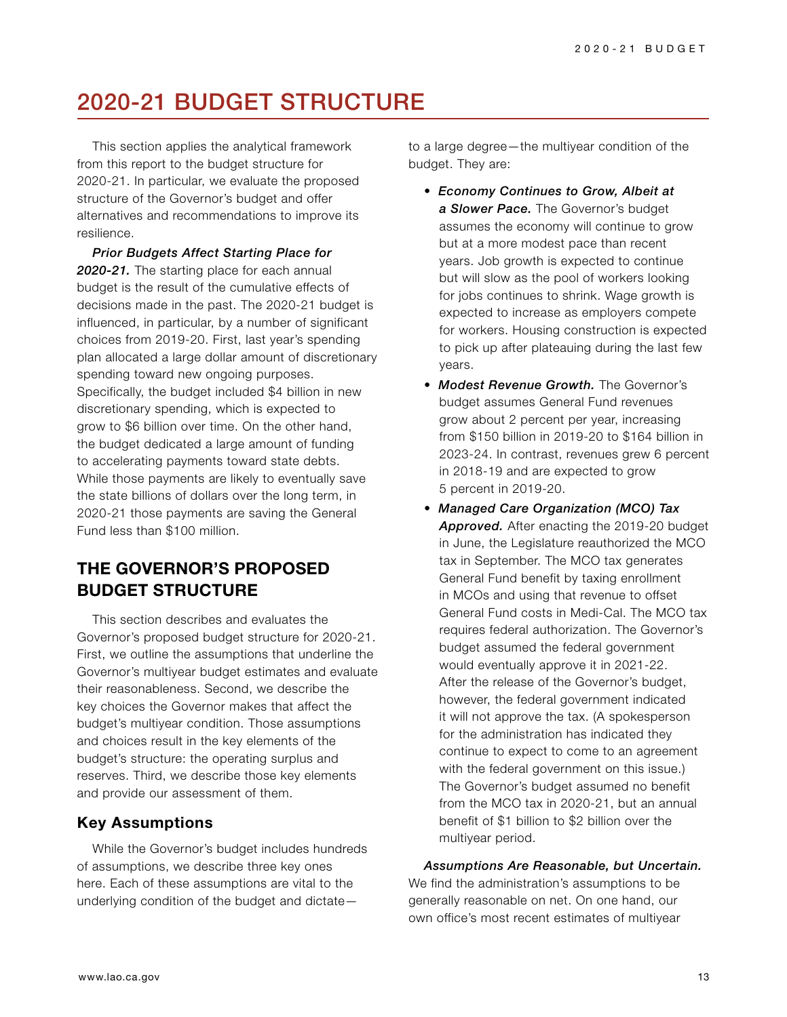# 2020-21 BUDGET STRUCTURE

This section applies the analytical framework from this report to the budget structure for 2020-21. In particular, we evaluate the proposed structure of the Governor's budget and offer alternatives and recommendations to improve its resilience.

*Prior Budgets Affect Starting Place for 2020-21.* The starting place for each annual budget is the result of the cumulative effects of decisions made in the past. The 2020-21 budget is influenced, in particular, by a number of significant choices from 2019-20. First, last year's spending plan allocated a large dollar amount of discretionary spending toward new ongoing purposes. Specifically, the budget included \$4 billion in new discretionary spending, which is expected to grow to \$6 billion over time. On the other hand, the budget dedicated a large amount of funding to accelerating payments toward state debts. While those payments are likely to eventually save the state billions of dollars over the long term, in 2020-21 those payments are saving the General Fund less than \$100 million.

# **THE GOVERNOR'S PROPOSED BUDGET STRUCTURE**

This section describes and evaluates the Governor's proposed budget structure for 2020-21. First, we outline the assumptions that underline the Governor's multiyear budget estimates and evaluate their reasonableness. Second, we describe the key choices the Governor makes that affect the budget's multiyear condition. Those assumptions and choices result in the key elements of the budget's structure: the operating surplus and reserves. Third, we describe those key elements and provide our assessment of them.

### **Key Assumptions**

While the Governor's budget includes hundreds of assumptions, we describe three key ones here. Each of these assumptions are vital to the underlying condition of the budget and dictateto a large degree—the multiyear condition of the budget. They are:

- *Economy Continues to Grow, Albeit at a Slower Pace.* The Governor's budget assumes the economy will continue to grow but at a more modest pace than recent years. Job growth is expected to continue but will slow as the pool of workers looking for jobs continues to shrink. Wage growth is expected to increase as employers compete for workers. Housing construction is expected to pick up after plateauing during the last few years.
- *Modest Revenue Growth.* The Governor's budget assumes General Fund revenues grow about 2 percent per year, increasing from \$150 billion in 2019-20 to \$164 billion in 2023-24. In contrast, revenues grew 6 percent in 2018-19 and are expected to grow 5 percent in 2019-20.
- *Managed Care Organization (MCO) Tax Approved.* After enacting the 2019-20 budget in June, the Legislature reauthorized the MCO tax in September. The MCO tax generates General Fund benefit by taxing enrollment in MCOs and using that revenue to offset General Fund costs in Medi-Cal. The MCO tax requires federal authorization. The Governor's budget assumed the federal government would eventually approve it in 2021-22. After the release of the Governor's budget, however, the federal government indicated it will not approve the tax. (A spokesperson for the administration has indicated they continue to expect to come to an agreement with the federal government on this issue.) The Governor's budget assumed no benefit from the MCO tax in 2020-21, but an annual benefit of \$1 billion to \$2 billion over the multiyear period.

#### *Assumptions Are Reasonable, but Uncertain.*

We find the administration's assumptions to be generally reasonable on net. On one hand, our own office's most recent estimates of multiyear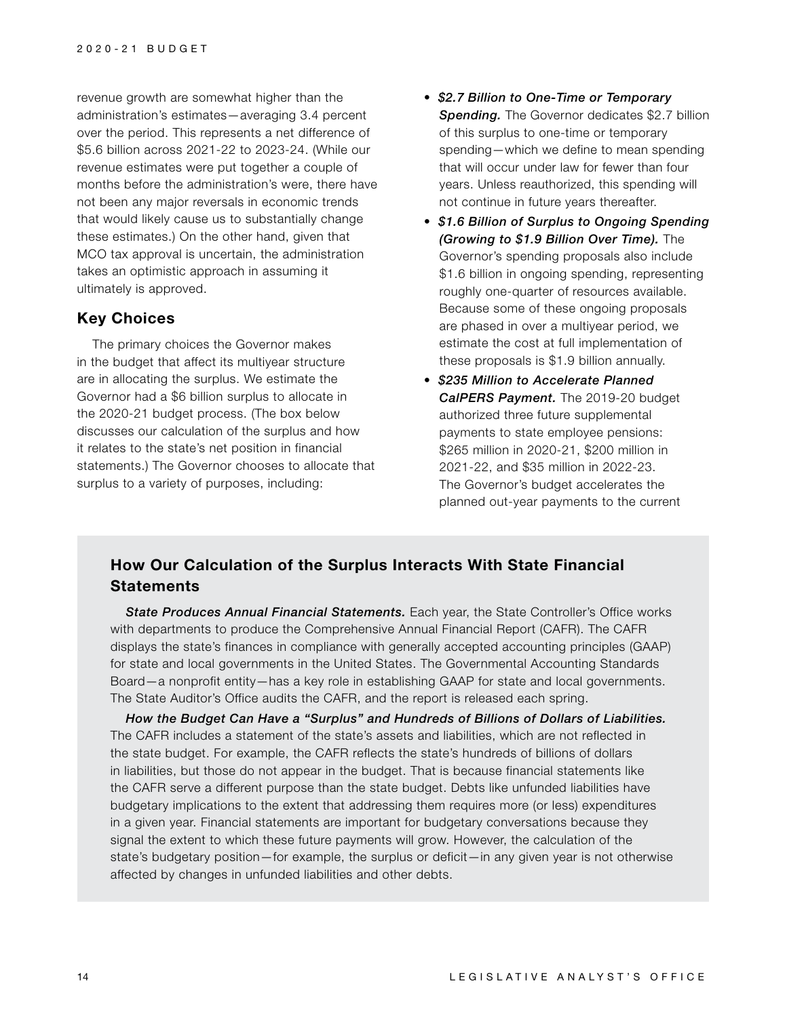revenue growth are somewhat higher than the administration's estimates—averaging 3.4 percent over the period. This represents a net difference of \$5.6 billion across 2021-22 to 2023-24. (While our revenue estimates were put together a couple of months before the administration's were, there have not been any major reversals in economic trends that would likely cause us to substantially change these estimates.) On the other hand, given that MCO tax approval is uncertain, the administration takes an optimistic approach in assuming it ultimately is approved.

### **Key Choices**

The primary choices the Governor makes in the budget that affect its multiyear structure are in allocating the surplus. We estimate the Governor had a \$6 billion surplus to allocate in the 2020-21 budget process. (The box below discusses our calculation of the surplus and how it relates to the state's net position in financial statements.) The Governor chooses to allocate that surplus to a variety of purposes, including:

- *\$2.7 Billion to One-Time or Temporary*  **Spending.** The Governor dedicates \$2.7 billion of this surplus to one-time or temporary spending—which we define to mean spending that will occur under law for fewer than four years. Unless reauthorized, this spending will not continue in future years thereafter.
- *\$1.6 Billion of Surplus to Ongoing Spending (Growing to \$1.9 Billion Over Time).* The Governor's spending proposals also include \$1.6 billion in ongoing spending, representing roughly one-quarter of resources available. Because some of these ongoing proposals are phased in over a multiyear period, we estimate the cost at full implementation of these proposals is \$1.9 billion annually.
- *\$235 Million to Accelerate Planned CalPERS Payment.* The 2019-20 budget authorized three future supplemental payments to state employee pensions: \$265 million in 2020-21, \$200 million in 2021-22, and \$35 million in 2022-23. The Governor's budget accelerates the planned out-year payments to the current

# **How Our Calculation of the Surplus Interacts With State Financial Statements**

**State Produces Annual Financial Statements.** Each year, the State Controller's Office works with departments to produce the Comprehensive Annual Financial Report (CAFR). The CAFR displays the state's finances in compliance with generally accepted accounting principles (GAAP) for state and local governments in the United States. The Governmental Accounting Standards Board—a nonprofit entity—has a key role in establishing GAAP for state and local governments. The State Auditor's Office audits the CAFR, and the report is released each spring.

*How the Budget Can Have a "Surplus" and Hundreds of Billions of Dollars of Liabilities.* The CAFR includes a statement of the state's assets and liabilities, which are not reflected in the state budget. For example, the CAFR reflects the state's hundreds of billions of dollars in liabilities, but those do not appear in the budget. That is because financial statements like the CAFR serve a different purpose than the state budget. Debts like unfunded liabilities have budgetary implications to the extent that addressing them requires more (or less) expenditures in a given year. Financial statements are important for budgetary conversations because they signal the extent to which these future payments will grow. However, the calculation of the state's budgetary position—for example, the surplus or deficit—in any given year is not otherwise affected by changes in unfunded liabilities and other debts.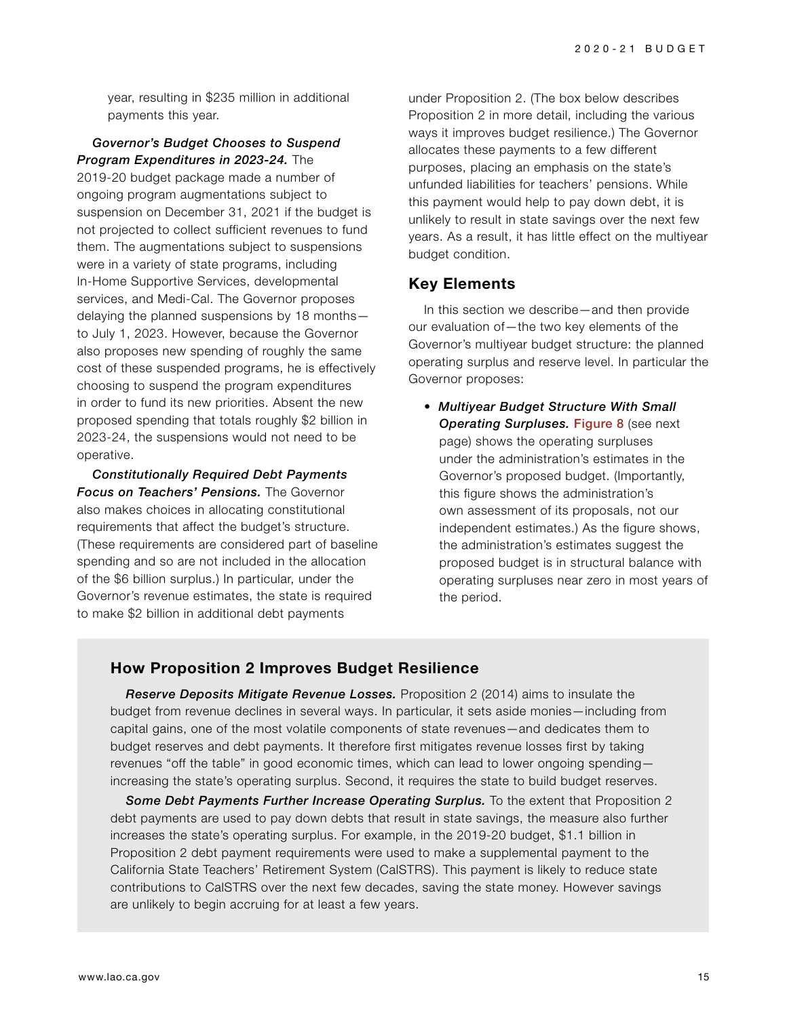year, resulting in \$235 million in additional payments this year.

#### *Governor's Budget Chooses to Suspend Program Expenditures in 2023-24.* The

2019-20 budget package made a number of ongoing program augmentations subject to suspension on December 31, 2021 if the budget is not projected to collect sufficient revenues to fund them. The augmentations subject to suspensions were in a variety of state programs, including In-Home Supportive Services, developmental services, and Medi-Cal. The Governor proposes delaying the planned suspensions by 18 months to July 1, 2023. However, because the Governor also proposes new spending of roughly the same cost of these suspended programs, he is effectively choosing to suspend the program expenditures in order to fund its new priorities. Absent the new proposed spending that totals roughly \$2 billion in 2023-24, the suspensions would not need to be operative.

*Constitutionally Required Debt Payments Focus on Teachers' Pensions.* The Governor also makes choices in allocating constitutional requirements that affect the budget's structure. (These requirements are considered part of baseline spending and so are not included in the allocation of the \$6 billion surplus.) In particular, under the Governor's revenue estimates, the state is required to make \$2 billion in additional debt payments

under Proposition 2. (The box below describes Proposition 2 in more detail, including the various ways it improves budget resilience.) The Governor allocates these payments to a few different purposes, placing an emphasis on the state's unfunded liabilities for teachers' pensions. While this payment would help to pay down debt, it is unlikely to result in state savings over the next few years. As a result, it has little effect on the multiyear budget condition.

### **Key Elements**

In this section we describe—and then provide our evaluation of—the two key elements of the Governor's multiyear budget structure: the planned operating surplus and reserve level. In particular the Governor proposes:

• *Multiyear Budget Structure With Small*  **Operating Surpluses. Figure 8** (see next page) shows the operating surpluses under the administration's estimates in the Governor's proposed budget. (Importantly, this figure shows the administration's own assessment of its proposals, not our independent estimates.) As the figure shows, the administration's estimates suggest the proposed budget is in structural balance with operating surpluses near zero in most years of the period.

# **How Proposition 2 Improves Budget Resilience**

*Reserve Deposits Mitigate Revenue Losses.* Proposition 2 (2014) aims to insulate the budget from revenue declines in several ways. In particular, it sets aside monies—including from capital gains, one of the most volatile components of state revenues—and dedicates them to budget reserves and debt payments. It therefore first mitigates revenue losses first by taking revenues "off the table" in good economic times, which can lead to lower ongoing spending increasing the state's operating surplus. Second, it requires the state to build budget reserves.

*Some Debt Payments Further Increase Operating Surplus.* To the extent that Proposition 2 debt payments are used to pay down debts that result in state savings, the measure also further increases the state's operating surplus. For example, in the 2019-20 budget, \$1.1 billion in Proposition 2 debt payment requirements were used to make a supplemental payment to the California State Teachers' Retirement System (CalSTRS). This payment is likely to reduce state contributions to CalSTRS over the next few decades, saving the state money. However savings are unlikely to begin accruing for at least a few years.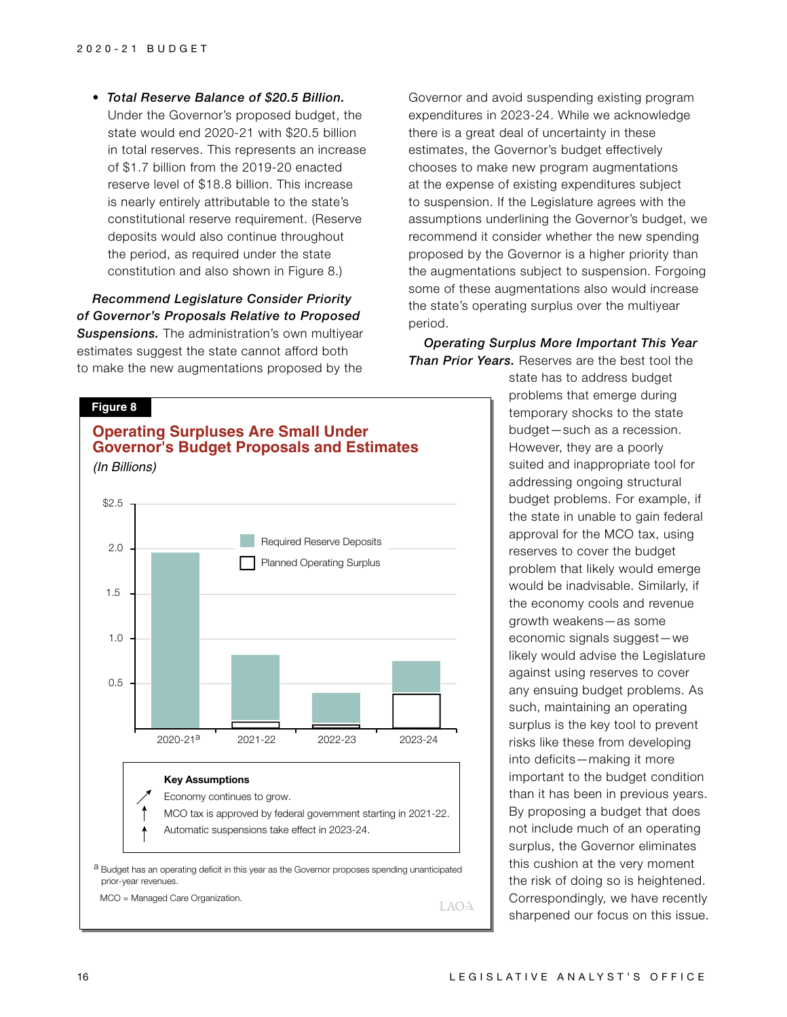• *Total Reserve Balance of \$20.5 Billion.* Under the Governor's proposed budget, the state would end 2020-21 with \$20.5 billion in total reserves. This represents an increase of \$1.7 billion from the 2019-20 enacted reserve level of \$18.8 billion. This increase is nearly entirely attributable to the state's constitutional reserve requirement. (Reserve deposits would also continue throughout the period, as required under the state constitution and also shown in Figure 8.)

*Recommend Legislature Consider Priority of Governor's Proposals Relative to Proposed Suspensions.* The administration's own multiyear estimates suggest the state cannot afford both to make the new augmentations proposed by the

**Figure 8**



Governor and avoid suspending existing program expenditures in 2023-24. While we acknowledge there is a great deal of uncertainty in these estimates, the Governor's budget effectively chooses to make new program augmentations at the expense of existing expenditures subject to suspension. If the Legislature agrees with the assumptions underlining the Governor's budget, we recommend it consider whether the new spending proposed by the Governor is a higher priority than the augmentations subject to suspension. Forgoing some of these augmentations also would increase the state's operating surplus over the multiyear period.

*Operating Surplus More Important This Year Than Prior Years.* Reserves are the best tool the

> state has to address budget problems that emerge during temporary shocks to the state budget—such as a recession. However, they are a poorly suited and inappropriate tool for addressing ongoing structural budget problems. For example, if the state in unable to gain federal approval for the MCO tax, using reserves to cover the budget problem that likely would emerge would be inadvisable. Similarly, if the economy cools and revenue growth weakens—as some economic signals suggest—we likely would advise the Legislature against using reserves to cover any ensuing budget problems. As such, maintaining an operating surplus is the key tool to prevent risks like these from developing into deficits—making it more important to the budget condition than it has been in previous years. By proposing a budget that does not include much of an operating surplus, the Governor eliminates this cushion at the very moment the risk of doing so is heightened. Correspondingly, we have recently sharpened our focus on this issue.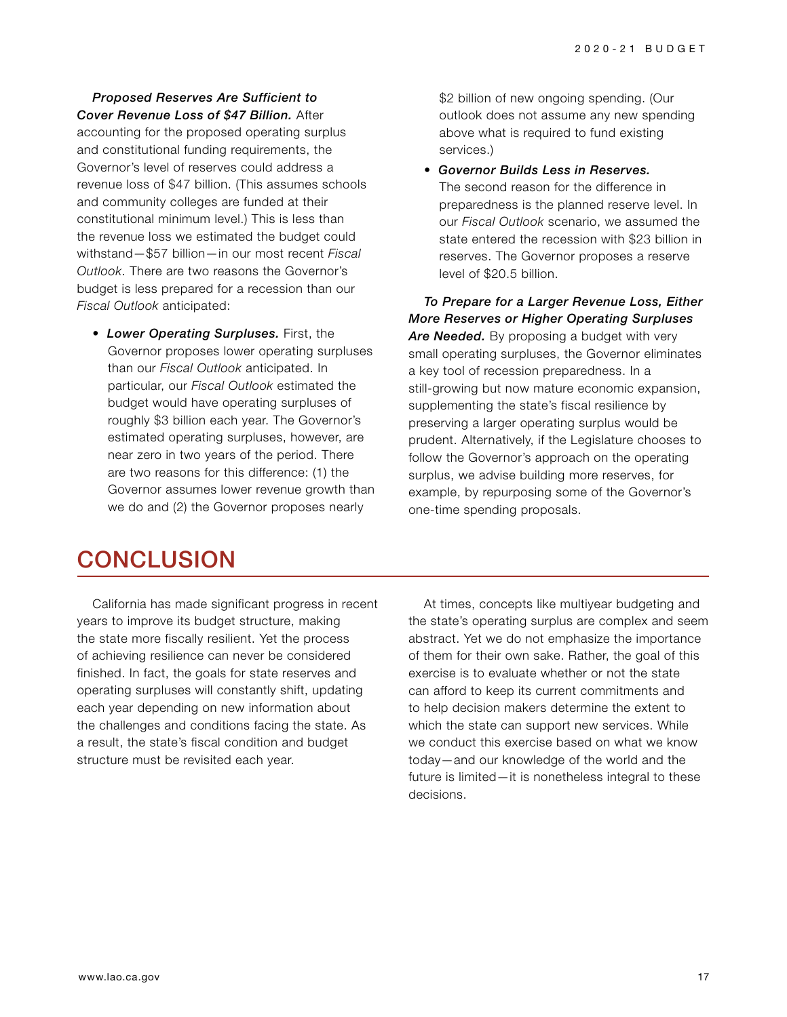#### *Proposed Reserves Are Sufficient to Cover Revenue Loss of \$47 Billion.* After

accounting for the proposed operating surplus and constitutional funding requirements, the Governor's level of reserves could address a revenue loss of \$47 billion. (This assumes schools and community colleges are funded at their constitutional minimum level.) This is less than the revenue loss we estimated the budget could withstand—\$57 billion—in our most recent *Fiscal Outlook*. There are two reasons the Governor's budget is less prepared for a recession than our *Fiscal Outlook* anticipated:

• *Lower Operating Surpluses.* First, the Governor proposes lower operating surpluses than our *Fiscal Outlook* anticipated. In particular, our *Fiscal Outlook* estimated the budget would have operating surpluses of roughly \$3 billion each year. The Governor's estimated operating surpluses, however, are near zero in two years of the period. There are two reasons for this difference: (1) the Governor assumes lower revenue growth than we do and (2) the Governor proposes nearly

#### \$2 billion of new ongoing spending. (Our outlook does not assume any new spending above what is required to fund existing services.)

• *Governor Builds Less in Reserves.* The second reason for the difference in preparedness is the planned reserve level. In our *Fiscal Outlook* scenario, we assumed the state entered the recession with \$23 billion in reserves. The Governor proposes a reserve level of \$20.5 billion.

*To Prepare for a Larger Revenue Loss, Either More Reserves or Higher Operating Surpluses Are Needed.* By proposing a budget with very small operating surpluses, the Governor eliminates a key tool of recession preparedness. In a still-growing but now mature economic expansion, supplementing the state's fiscal resilience by preserving a larger operating surplus would be prudent. Alternatively, if the Legislature chooses to follow the Governor's approach on the operating surplus, we advise building more reserves, for example, by repurposing some of the Governor's one-time spending proposals.

# **CONCLUSION**

California has made significant progress in recent years to improve its budget structure, making the state more fiscally resilient. Yet the process of achieving resilience can never be considered finished. In fact, the goals for state reserves and operating surpluses will constantly shift, updating each year depending on new information about the challenges and conditions facing the state. As a result, the state's fiscal condition and budget structure must be revisited each year.

At times, concepts like multiyear budgeting and the state's operating surplus are complex and seem abstract. Yet we do not emphasize the importance of them for their own sake. Rather, the goal of this exercise is to evaluate whether or not the state can afford to keep its current commitments and to help decision makers determine the extent to which the state can support new services. While we conduct this exercise based on what we know today—and our knowledge of the world and the future is limited—it is nonetheless integral to these decisions.